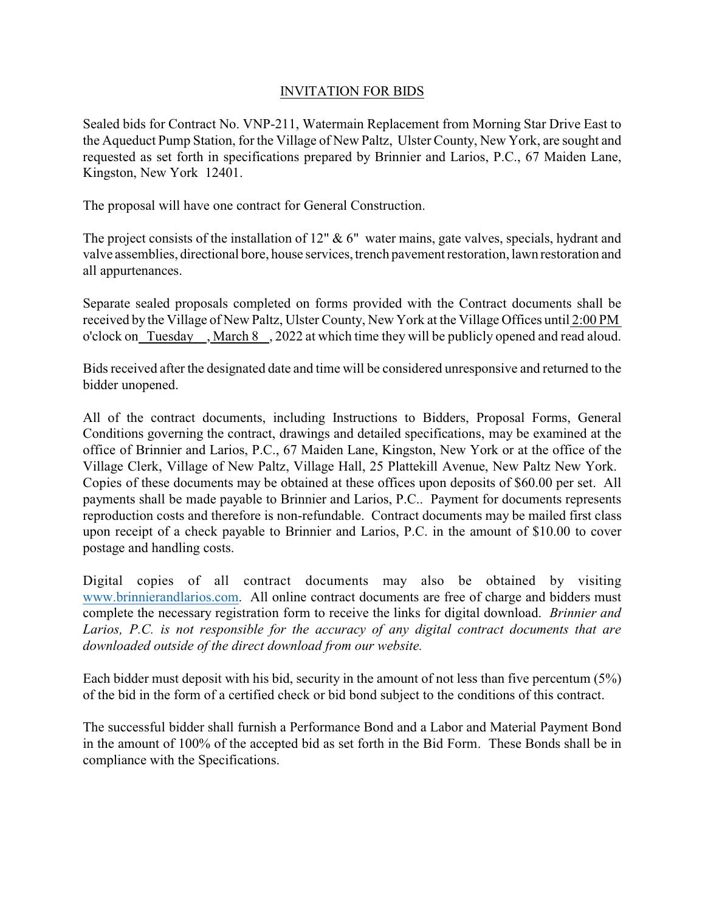## INVITATION FOR BIDS

Sealed bids for Contract No. VNP-211, Watermain Replacement from Morning Star Drive East to the Aqueduct Pump Station, for the Village of New Paltz, Ulster County, New York, are sought and requested as set forth in specifications prepared by Brinnier and Larios, P.C., 67 Maiden Lane, Kingston, New York 12401.

The proposal will have one contract for General Construction.

The project consists of the installation of 12"  $\& 6$ " water mains, gate valves, specials, hydrant and valve assemblies, directional bore, house services, trench pavement restoration, lawn restoration and all appurtenances.

Separate sealed proposals completed on forms provided with the Contract documents shall be received by the Village of New Paltz, Ulster County, New York at the Village Offices until 2:00 PM o'clock on Tuesday , March 8 , 2022 at which time they will be publicly opened and read aloud.

Bids received after the designated date and time will be considered unresponsive and returned to the bidder unopened.

All of the contract documents, including Instructions to Bidders, Proposal Forms, General Conditions governing the contract, drawings and detailed specifications, may be examined at the office of Brinnier and Larios, P.C., 67 Maiden Lane, Kingston, New York or at the office of the Village Clerk, Village of New Paltz, Village Hall, 25 Plattekill Avenue, New Paltz New York. Copies of these documents may be obtained at these offices upon deposits of \$60.00 per set. All payments shall be made payable to Brinnier and Larios, P.C.. Payment for documents represents reproduction costs and therefore is non-refundable. Contract documents may be mailed first class upon receipt of a check payable to Brinnier and Larios, P.C. in the amount of \$10.00 to cover postage and handling costs.

Digital copies of all contract documents may also be obtained by visiting www.brinnierandlarios.com. All online contract documents are free of charge and bidders must complete the necessary registration form to receive the links for digital download. *Brinnier and Larios, P.C. is not responsible for the accuracy of any digital contract documents that are downloaded outside of the direct download from our website.*

Each bidder must deposit with his bid, security in the amount of not less than five percentum (5%) of the bid in the form of a certified check or bid bond subject to the conditions of this contract.

The successful bidder shall furnish a Performance Bond and a Labor and Material Payment Bond in the amount of 100% of the accepted bid as set forth in the Bid Form. These Bonds shall be in compliance with the Specifications.